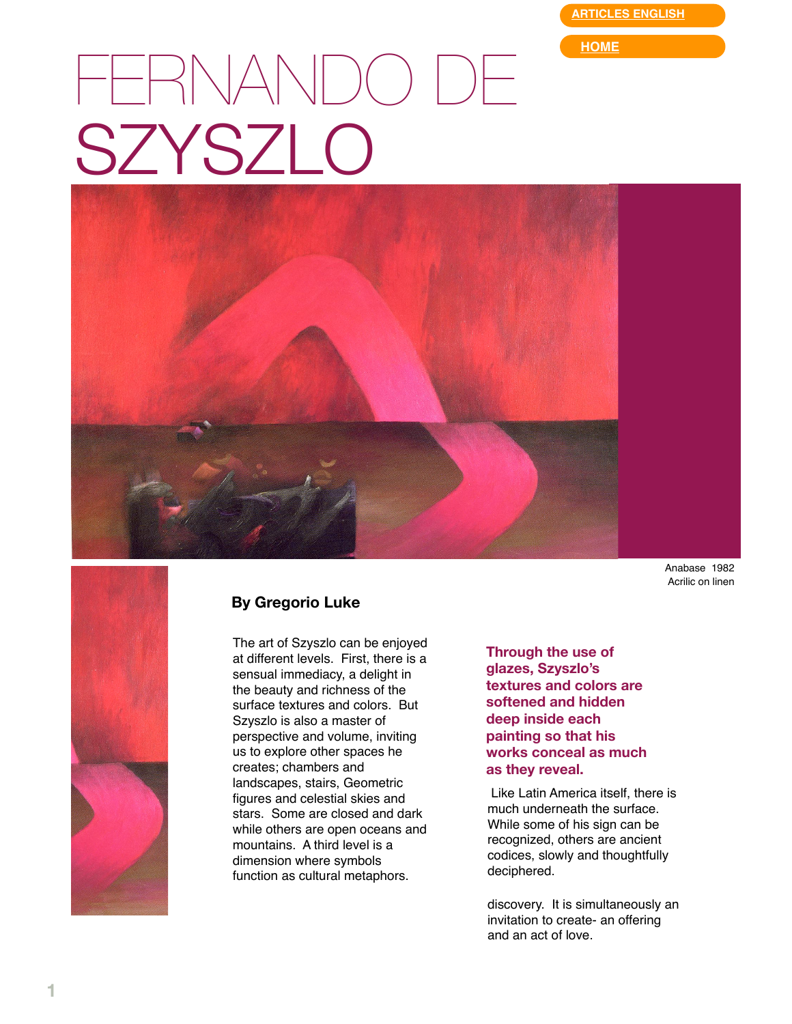**[ARTICLES ENGLISH](http://web.mac.com/gregorioluke/Site/Articles_in_English.html)**

**[HOME](http://web.mac.com/gregorioluke/Site/Home.html)**

## FERNANDO DE SZYSZLO



Anabase 1982 Acrilic on linen



## **By Gregorio Luke**

The art of Szyszlo can be enjoyed at different levels. First, there is a sensual immediacy, a delight in the beauty and richness of the surface textures and colors. But Szyszlo is also a master of perspective and volume, inviting us to explore other spaces he creates; chambers and landscapes, stairs, Geometric figures and celestial skies and stars. Some are closed and dark while others are open oceans and mountains. A third level is a dimension where symbols function as cultural metaphors.

**Through the use of glazes, Szyszlo's textures and colors are softened and hidden deep inside each painting so that his works conceal as much as they reveal.**

 Like Latin America itself, there is much underneath the surface. While some of his sign can be recognized, others are ancient codices, slowly and thoughtfully deciphered.

discovery. It is simultaneously an invitation to create- an offering and an act of love.